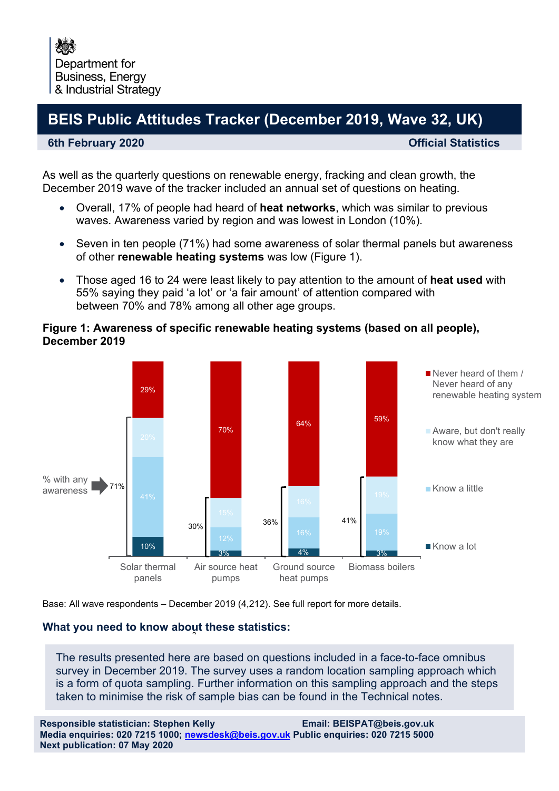## **BEIS Public Attitudes Tracker (December 2019, Wave 32, UK)**

### **6th February 2020 Official Statistics**

As well as the quarterly questions on renewable energy, fracking and clean growth, the December 2019 wave of the tracker included an annual set of questions on heating.

- Overall, 17% of people had heard of **heat networks**, which was similar to previous waves. Awareness varied by region and was lowest in London (10%).
- Seven in ten people (71%) had some awareness of solar thermal panels but awareness of other **renewable heating systems** was low (Figure 1).
- Those aged 16 to 24 were least likely to pay attention to the amount of **heat used** with 55% saying they paid 'a lot' or 'a fair amount' of attention compared with between 70% and 78% among all other age groups.

## **Figure 1: Awareness of specific renewable heating systems (based on all people), December 2019**



Base: All wave respondents – December 2019 (4,212). See full report for more details.

#### **What you need to know about these statistics:**  $\mathbf{\hat{a}}$

The results presented here are based on questions included in a face-to-face omnibus survey in December 2019. The survey uses a random location sampling approach which is a form of quota sampling. Further information on this sampling approach and the steps taken to minimise the risk of sample bias can be found in the Technical notes.

**Responsible statistician: Stephen Kelly Email: BEISPAT@beis.gov.uk Media enquiries: 020 7215 1000; [newsdesk@beis.gov.uk](mailto:newsdesk@beis.gov.uk) Public enquiries: 020 7215 5000 Next publication: 07 May 2020**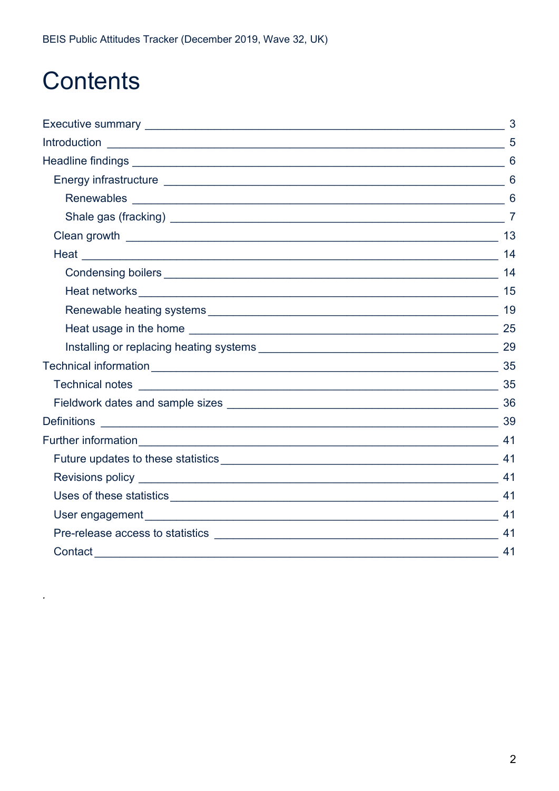# **Contents**

 $\overline{\phantom{a}}$ 

|                    | 3   |
|--------------------|-----|
|                    |     |
|                    |     |
|                    |     |
|                    |     |
|                    |     |
|                    | 13  |
|                    |     |
|                    | 14  |
|                    |     |
|                    |     |
|                    | 25  |
|                    |     |
|                    |     |
|                    |     |
|                    |     |
| <b>Definitions</b> |     |
|                    |     |
|                    | 41  |
|                    |     |
|                    |     |
| User engagement 41 |     |
|                    | -41 |
| Contact            | 41  |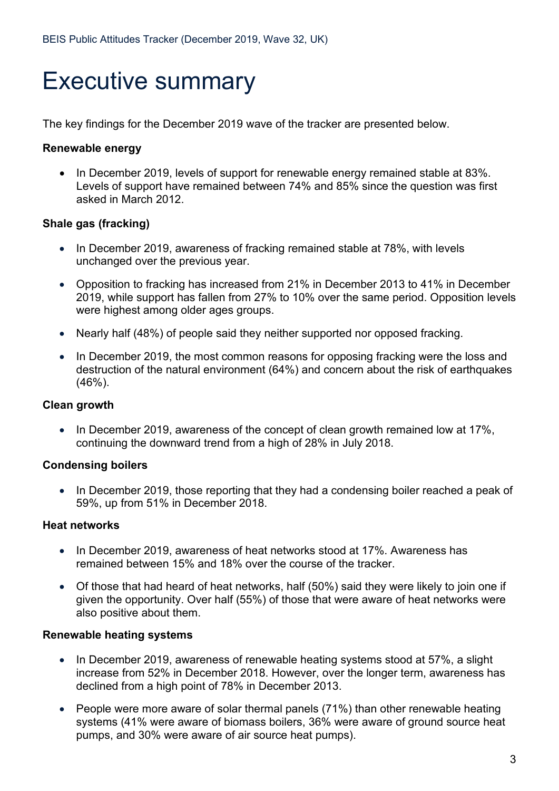# <span id="page-2-0"></span>Executive summary

The key findings for the December 2019 wave of the tracker are presented below.

## **Renewable energy**

• In December 2019, levels of support for renewable energy remained stable at 83%. Levels of support have remained between 74% and 85% since the question was first asked in March 2012.

## **Shale gas (fracking)**

- In December 2019, awareness of fracking remained stable at 78%, with levels unchanged over the previous year.
- Opposition to fracking has increased from 21% in December 2013 to 41% in December 2019, while support has fallen from 27% to 10% over the same period. Opposition levels were highest among older ages groups.
- Nearly half (48%) of people said they neither supported nor opposed fracking.
- In December 2019, the most common reasons for opposing fracking were the loss and destruction of the natural environment (64%) and concern about the risk of earthquakes (46%).

### **Clean growth**

• In December 2019, awareness of the concept of clean growth remained low at 17%, continuing the downward trend from a high of 28% in July 2018.

### **Condensing boilers**

• In December 2019, those reporting that they had a condensing boiler reached a peak of 59%, up from 51% in December 2018.

### **Heat networks**

- In December 2019, awareness of heat networks stood at 17%. Awareness has remained between 15% and 18% over the course of the tracker.
- Of those that had heard of heat networks, half (50%) said they were likely to join one if given the opportunity. Over half (55%) of those that were aware of heat networks were also positive about them.

### **Renewable heating systems**

- In December 2019, awareness of renewable heating systems stood at 57%, a slight increase from 52% in December 2018. However, over the longer term, awareness has declined from a high point of 78% in December 2013.
- People were more aware of solar thermal panels (71%) than other renewable heating systems (41% were aware of biomass boilers, 36% were aware of ground source heat pumps, and 30% were aware of air source heat pumps).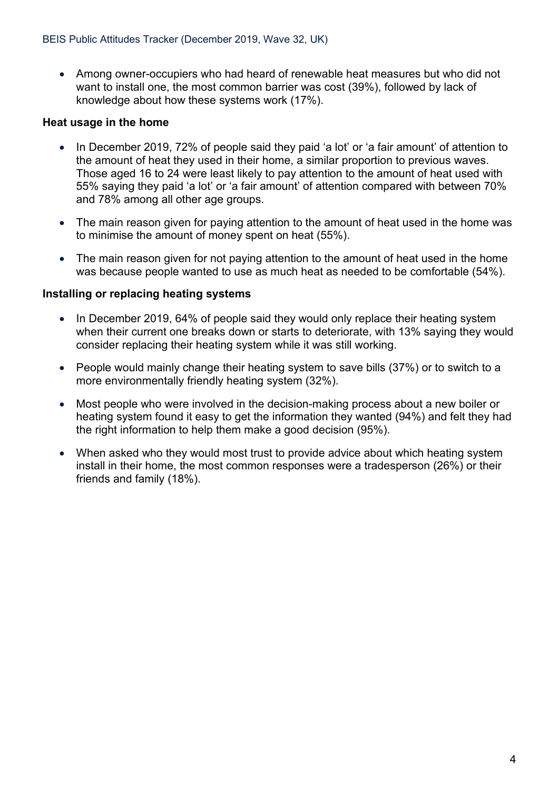• Among owner-occupiers who had heard of renewable heat measures but who did not want to install one, the most common barrier was cost (39%), followed by lack of knowledge about how these systems work (17%).

## **Heat usage in the home**

- In December 2019, 72% of people said they paid 'a lot' or 'a fair amount' of attention to the amount of heat they used in their home, a similar proportion to previous waves. Those aged 16 to 24 were least likely to pay attention to the amount of heat used with 55% saying they paid 'a lot' or 'a fair amount' of attention compared with between 70% and 78% among all other age groups.
- The main reason given for paying attention to the amount of heat used in the home was to minimise the amount of money spent on heat (55%).
- The main reason given for not paying attention to the amount of heat used in the home was because people wanted to use as much heat as needed to be comfortable (54%).

## **Installing or replacing heating systems**

- In December 2019, 64% of people said they would only replace their heating system when their current one breaks down or starts to deteriorate, with 13% saying they would consider replacing their heating system while it was still working.
- People would mainly change their heating system to save bills (37%) or to switch to a more environmentally friendly heating system (32%).
- Most people who were involved in the decision-making process about a new boiler or heating system found it easy to get the information they wanted (94%) and felt they had the right information to help them make a good decision (95%).
- When asked who they would most trust to provide advice about which heating system install in their home, the most common responses were a tradesperson (26%) or their friends and family (18%).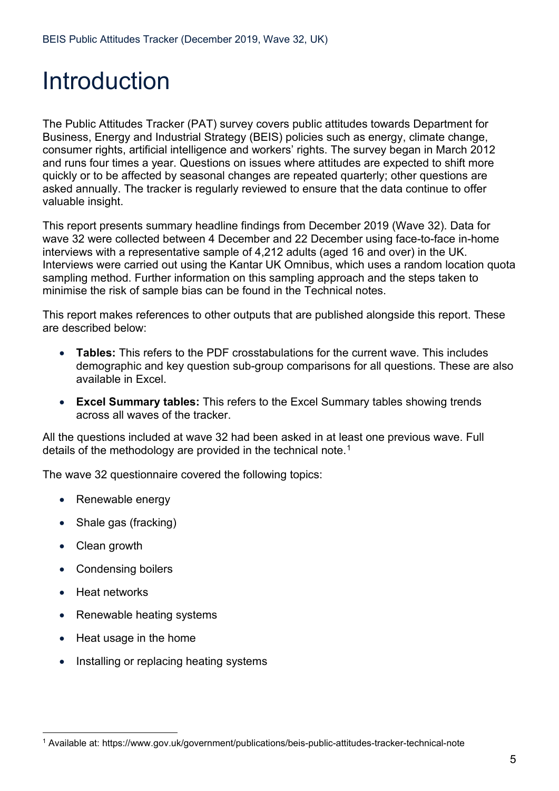# <span id="page-4-0"></span>Introduction

The Public Attitudes Tracker (PAT) survey covers public attitudes towards Department for Business, Energy and Industrial Strategy (BEIS) policies such as energy, climate change, consumer rights, artificial intelligence and workers' rights. The survey began in March 2012 and runs four times a year. Questions on issues where attitudes are expected to shift more quickly or to be affected by seasonal changes are repeated quarterly; other questions are asked annually. The tracker is regularly reviewed to ensure that the data continue to offer valuable insight.

This report presents summary headline findings from December 2019 (Wave 32). Data for wave 32 were collected between 4 December and 22 December using face-to-face in-home interviews with a representative sample of 4,212 adults (aged 16 and over) in the UK. Interviews were carried out using the Kantar UK Omnibus, which uses a random location quota sampling method. Further information on this sampling approach and the steps taken to minimise the risk of sample bias can be found in the Technical notes.

This report makes references to other outputs that are published alongside this report. These are described below:

- **Tables:** This refers to the PDF crosstabulations for the current wave. This includes demographic and key question sub-group comparisons for all questions. These are also available in Excel.
- **Excel Summary tables:** This refers to the Excel Summary tables showing trends across all waves of the tracker.

All the questions included at wave 32 had been asked in at least one previous wave. Full details of the methodology are provided in the technical note.<sup>[1](#page-4-1)</sup>

The wave 32 questionnaire covered the following topics:

- Renewable energy
- Shale gas (fracking)
- Clean growth
- Condensing boilers
- Heat networks
- Renewable heating systems
- Heat usage in the home
- Installing or replacing heating systems

<span id="page-4-1"></span><sup>1</sup> Available at: https://www.gov.uk/government/publications/beis-public-attitudes-tracker-technical-note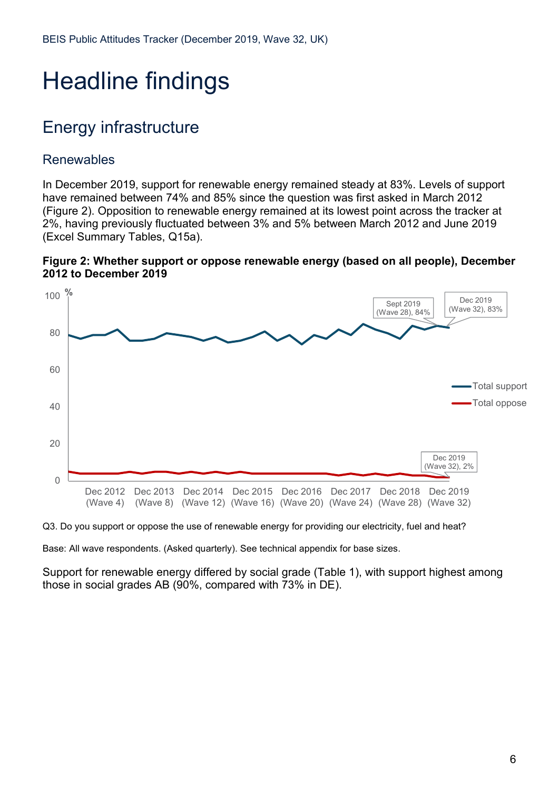# <span id="page-5-0"></span>Headline findings

# <span id="page-5-1"></span>Energy infrastructure

## <span id="page-5-2"></span>**Renewables**

In December 2019, support for renewable energy remained steady at 83%. Levels of support have remained between 74% and 85% since the question was first asked in March 2012 (Figure 2). Opposition to renewable energy remained at its lowest point across the tracker at 2%, having previously fluctuated between 3% and 5% between March 2012 and June 2019 (Excel Summary Tables, Q15a).





Q3. Do you support or oppose the use of renewable energy for providing our electricity, fuel and heat?

Base: All wave respondents. (Asked quarterly). See technical appendix for base sizes.

Support for renewable energy differed by social grade (Table 1), with support highest among those in social grades AB (90%, compared with 73% in DE).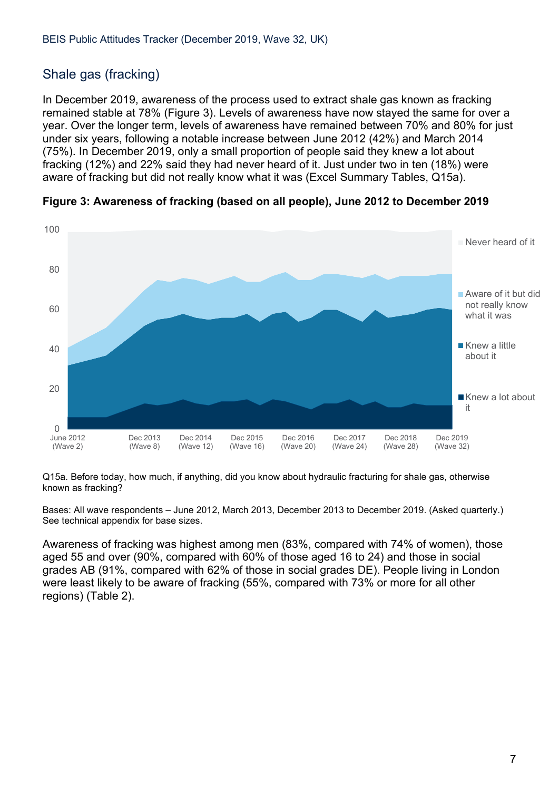## <span id="page-6-0"></span>Shale gas (fracking)

In December 2019, awareness of the process used to extract shale gas known as fracking remained stable at 78% (Figure 3). Levels of awareness have now stayed the same for over a year. Over the longer term, levels of awareness have remained between 70% and 80% for just under six years, following a notable increase between June 2012 (42%) and March 2014 (75%). In December 2019, only a small proportion of people said they knew a lot about fracking (12%) and 22% said they had never heard of it. Just under two in ten (18%) were aware of fracking but did not really know what it was (Excel Summary Tables, Q15a).



**Figure 3: Awareness of fracking (based on all people), June 2012 to December 2019**

Q15a. Before today, how much, if anything, did you know about hydraulic fracturing for shale gas, otherwise known as fracking?

Bases: All wave respondents – June 2012, March 2013, December 2013 to December 2019. (Asked quarterly.) See technical appendix for base sizes.

Awareness of fracking was highest among men (83%, compared with 74% of women), those aged 55 and over (90%, compared with 60% of those aged 16 to 24) and those in social grades AB (91%, compared with 62% of those in social grades DE). People living in London were least likely to be aware of fracking (55%, compared with 73% or more for all other regions) (Table 2).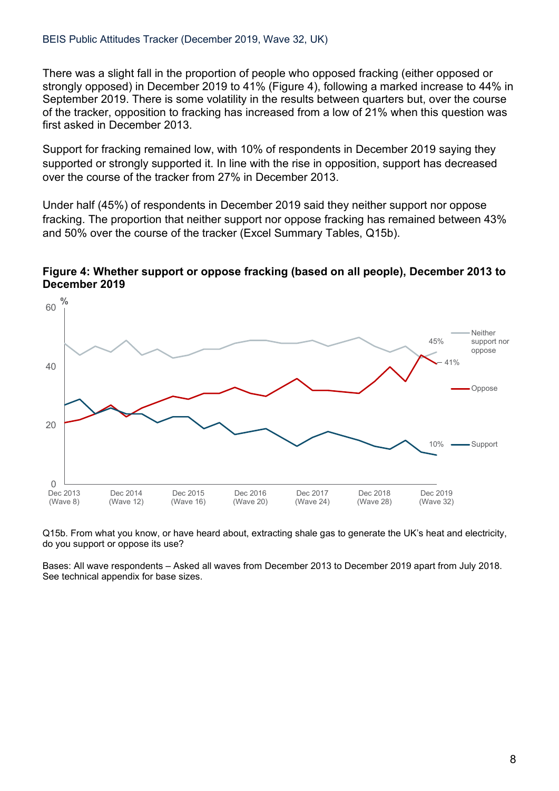There was a slight fall in the proportion of people who opposed fracking (either opposed or strongly opposed) in December 2019 to 41% (Figure 4), following a marked increase to 44% in September 2019. There is some volatility in the results between quarters but, over the course of the tracker, opposition to fracking has increased from a low of 21% when this question was first asked in December 2013.

Support for fracking remained low, with 10% of respondents in December 2019 saying they supported or strongly supported it. In line with the rise in opposition, support has decreased over the course of the tracker from 27% in December 2013.

Under half (45%) of respondents in December 2019 said they neither support nor oppose fracking. The proportion that neither support nor oppose fracking has remained between 43% and 50% over the course of the tracker (Excel Summary Tables, Q15b).

**Figure 4: Whether support or oppose fracking (based on all people), December 2013 to December 2019**



Q15b. From what you know, or have heard about, extracting shale gas to generate the UK's heat and electricity, do you support or oppose its use?

Bases: All wave respondents – Asked all waves from December 2013 to December 2019 apart from July 2018. See technical appendix for base sizes.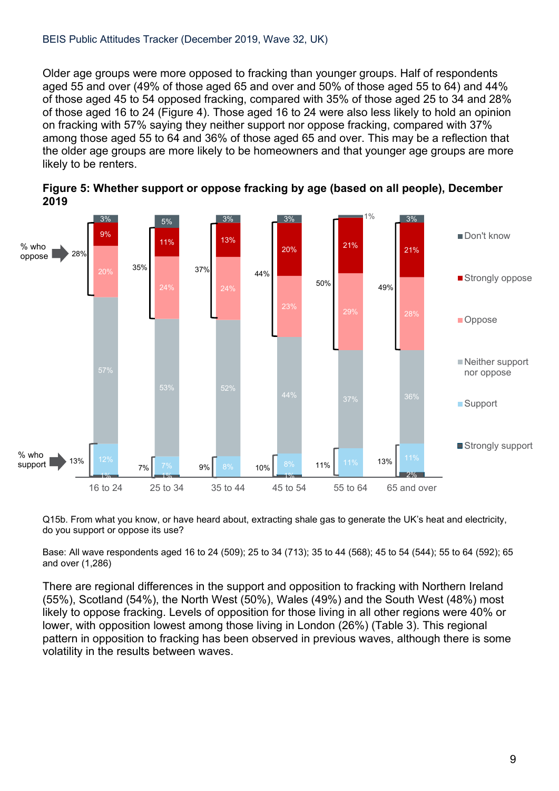#### BEIS Public Attitudes Tracker (December 2019, Wave 32, UK)

Older age groups were more opposed to fracking than younger groups. Half of respondents aged 55 and over (49% of those aged 65 and over and 50% of those aged 55 to 64) and 44% of those aged 45 to 54 opposed fracking, compared with 35% of those aged 25 to 34 and 28% of those aged 16 to 24 (Figure 4). Those aged 16 to 24 were also less likely to hold an opinion on fracking with 57% saying they neither support nor oppose fracking, compared with 37% among those aged 55 to 64 and 36% of those aged 65 and over. This may be a reflection that the older age groups are more likely to be homeowners and that younger age groups are more likely to be renters.



**Figure 5: Whether support or oppose fracking by age (based on all people), December 2019**

Q15b. From what you know, or have heard about, extracting shale gas to generate the UK's heat and electricity, do you support or oppose its use?

Base: All wave respondents aged 16 to 24 (509); 25 to 34 (713); 35 to 44 (568); 45 to 54 (544); 55 to 64 (592); 65 and over (1,286)

There are regional differences in the support and opposition to fracking with Northern Ireland (55%), Scotland (54%), the North West (50%), Wales (49%) and the South West (48%) most likely to oppose fracking. Levels of opposition for those living in all other regions were 40% or lower, with opposition lowest among those living in London (26%) (Table 3). This regional pattern in opposition to fracking has been observed in previous waves, although there is some volatility in the results between waves.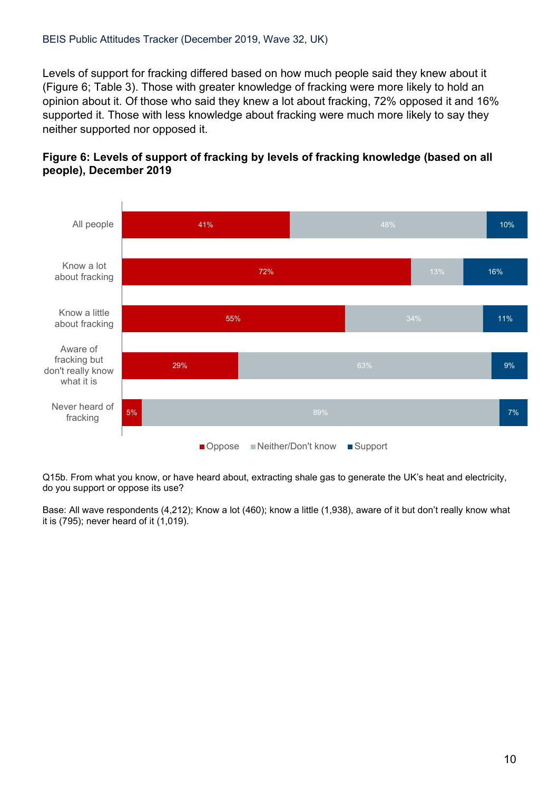Levels of support for fracking differed based on how much people said they knew about it (Figure 6; Table 3). Those with greater knowledge of fracking were more likely to hold an opinion about it. Of those who said they knew a lot about fracking, 72% opposed it and 16% supported it. Those with less knowledge about fracking were much more likely to say they neither supported nor opposed it.



## **Figure 6: Levels of support of fracking by levels of fracking knowledge (based on all people), December 2019**

Q15b. From what you know, or have heard about, extracting shale gas to generate the UK's heat and electricity, do you support or oppose its use?

Base: All wave respondents (4,212); Know a lot (460); know a little (1,938), aware of it but don't really know what it is (795); never heard of it (1,019).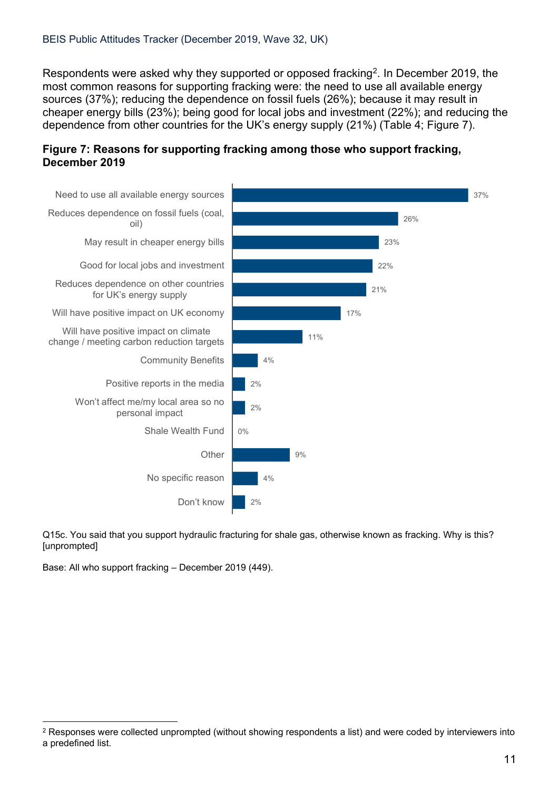### BEIS Public Attitudes Tracker (December 2019, Wave 32, UK)

Respondents were asked why they supported or opposed fracking<sup>2</sup>. In December 2019, the most common reasons for supporting fracking were: the need to use all available energy sources (37%); reducing the dependence on fossil fuels (26%); because it may result in cheaper energy bills (23%); being good for local jobs and investment (22%); and reducing the dependence from other countries for the UK's energy supply (21%) (Table 4; Figure 7).

#### **Figure 7: Reasons for supporting fracking among those who support fracking, December 2019**



Q15c. You said that you support hydraulic fracturing for shale gas, otherwise known as fracking. Why is this? [unprompted]

Base: All who support fracking – December 2019 (449).

<span id="page-10-0"></span><sup>2</sup> Responses were collected unprompted (without showing respondents a list) and were coded by interviewers into a predefined list.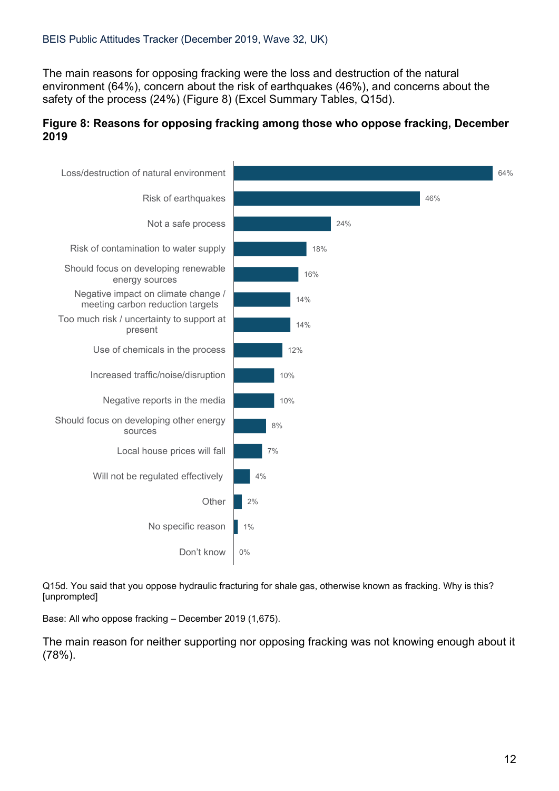The main reasons for opposing fracking were the loss and destruction of the natural environment (64%), concern about the risk of earthquakes (46%), and concerns about the safety of the process (24%) (Figure 8) (Excel Summary Tables, Q15d).

## **Figure 8: Reasons for opposing fracking among those who oppose fracking, December 2019**



Q15d. You said that you oppose hydraulic fracturing for shale gas, otherwise known as fracking. Why is this? [unprompted]

Base: All who oppose fracking – December 2019 (1,675).

The main reason for neither supporting nor opposing fracking was not knowing enough about it (78%).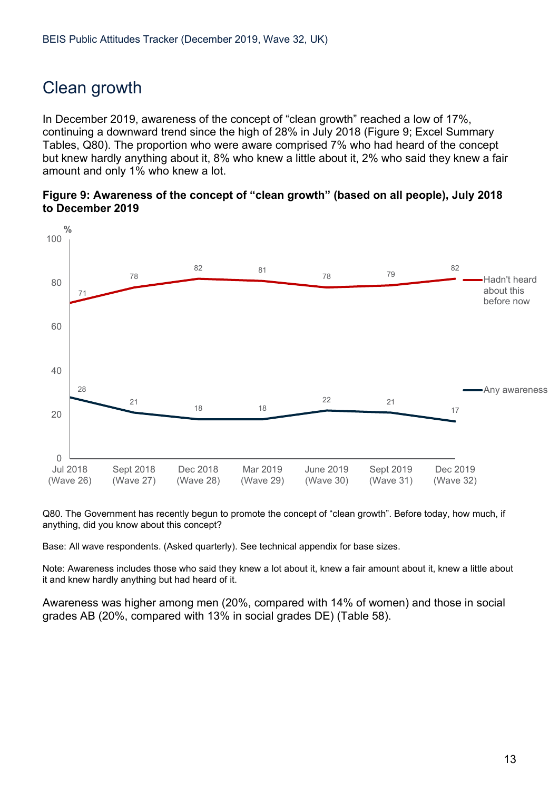## <span id="page-12-0"></span>Clean growth

In December 2019, awareness of the concept of "clean growth" reached a low of 17%, continuing a downward trend since the high of 28% in July 2018 (Figure 9; Excel Summary Tables, Q80). The proportion who were aware comprised 7% who had heard of the concept but knew hardly anything about it, 8% who knew a little about it, 2% who said they knew a fair amount and only 1% who knew a lot.

**Figure 9: Awareness of the concept of "clean growth" (based on all people), July 2018 to December 2019**



Q80. The Government has recently begun to promote the concept of "clean growth". Before today, how much, if anything, did you know about this concept?

Base: All wave respondents. (Asked quarterly). See technical appendix for base sizes.

Note: Awareness includes those who said they knew a lot about it, knew a fair amount about it, knew a little about it and knew hardly anything but had heard of it.

Awareness was higher among men (20%, compared with 14% of women) and those in social grades AB (20%, compared with 13% in social grades DE) (Table 58).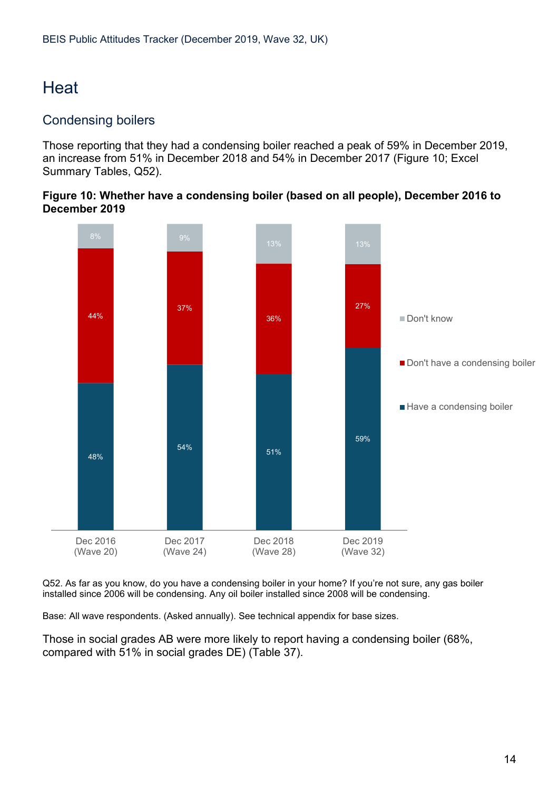## <span id="page-13-0"></span>**Heat**

## <span id="page-13-1"></span>Condensing boilers

Those reporting that they had a condensing boiler reached a peak of 59% in December 2019, an increase from 51% in December 2018 and 54% in December 2017 (Figure 10; Excel Summary Tables, Q52).

## **Figure 10: Whether have a condensing boiler (based on all people), December 2016 to December 2019**



Q52. As far as you know, do you have a condensing boiler in your home? If you're not sure, any gas boiler installed since 2006 will be condensing. Any oil boiler installed since 2008 will be condensing.

Base: All wave respondents. (Asked annually). See technical appendix for base sizes.

Those in social grades AB were more likely to report having a condensing boiler (68%, compared with 51% in social grades DE) (Table 37).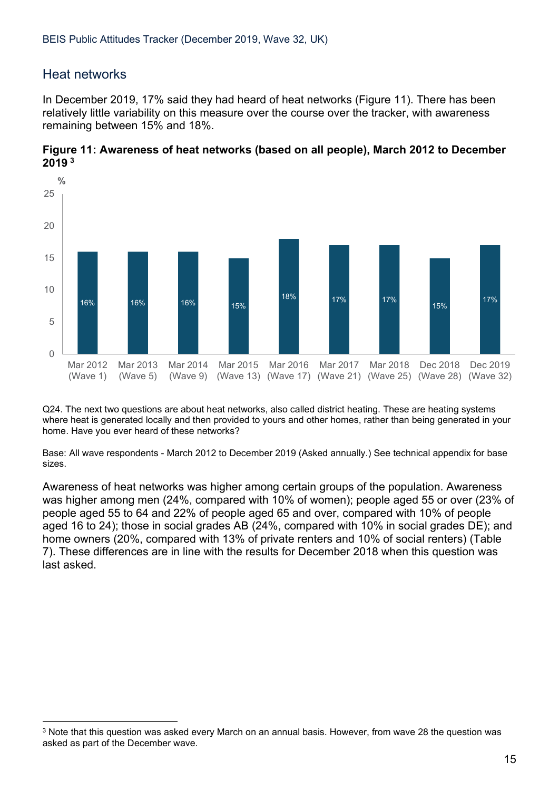## <span id="page-14-0"></span>Heat networks

In December 2019, 17% said they had heard of heat networks (Figure 11). There has been relatively little variability on this measure over the course over the tracker, with awareness remaining between 15% and 18%.



**Figure 11: Awareness of heat networks (based on all people), March 2012 to December 2019 [3](#page-14-1)**

Q24. The next two questions are about heat networks, also called district heating. These are heating systems where heat is generated locally and then provided to yours and other homes, rather than being generated in your home. Have you ever heard of these networks?

Base: All wave respondents - March 2012 to December 2019 (Asked annually.) See technical appendix for base sizes.

Awareness of heat networks was higher among certain groups of the population. Awareness was higher among men (24%, compared with 10% of women); people aged 55 or over (23% of people aged 55 to 64 and 22% of people aged 65 and over, compared with 10% of people aged 16 to 24); those in social grades AB (24%, compared with 10% in social grades DE); and home owners (20%, compared with 13% of private renters and 10% of social renters) (Table 7). These differences are in line with the results for December 2018 when this question was last asked.

<span id="page-14-1"></span><sup>3</sup> Note that this question was asked every March on an annual basis. However, from wave 28 the question was asked as part of the December wave.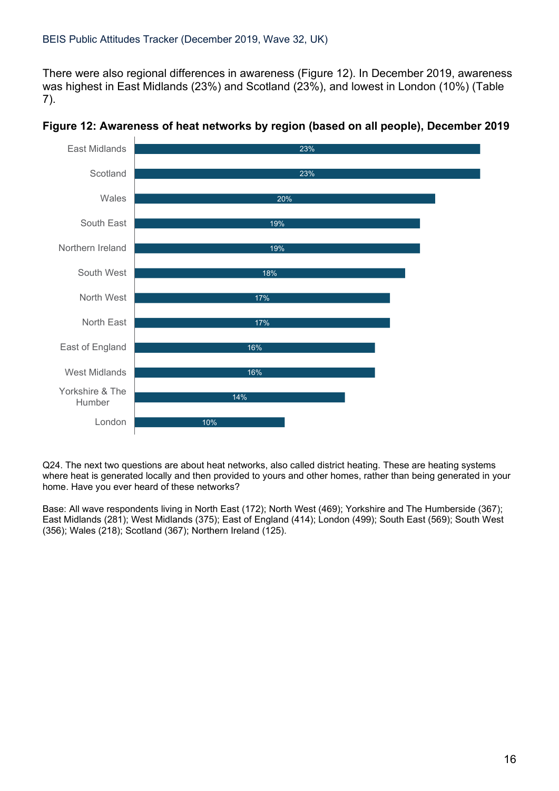There were also regional differences in awareness (Figure 12). In December 2019, awareness was highest in East Midlands (23%) and Scotland (23%), and lowest in London (10%) (Table 7).



### **Figure 12: Awareness of heat networks by region (based on all people), December 2019**

Q24. The next two questions are about heat networks, also called district heating. These are heating systems where heat is generated locally and then provided to yours and other homes, rather than being generated in your home. Have you ever heard of these networks?

Base: All wave respondents living in North East (172); North West (469); Yorkshire and The Humberside (367); East Midlands (281); West Midlands (375); East of England (414); London (499); South East (569); South West (356); Wales (218); Scotland (367); Northern Ireland (125).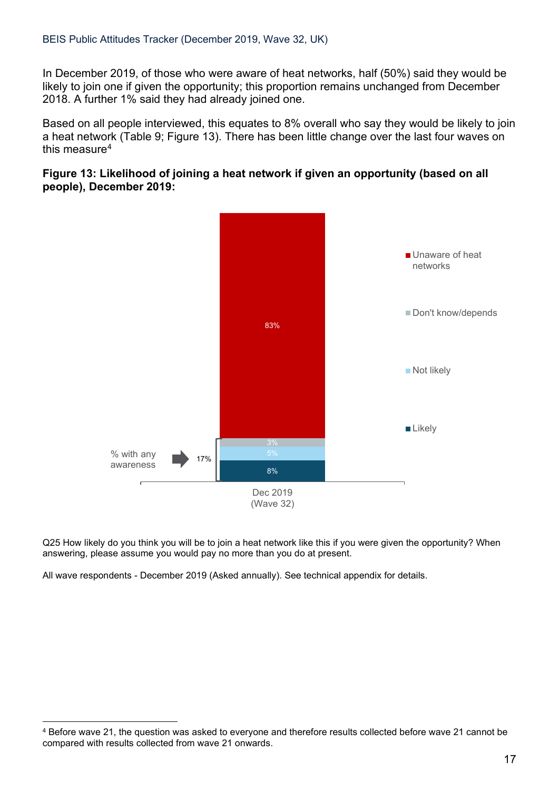In December 2019, of those who were aware of heat networks, half (50%) said they would be likely to join one if given the opportunity; this proportion remains unchanged from December 2018. A further 1% said they had already joined one.

Based on all people interviewed, this equates to 8% overall who say they would be likely to join a heat network (Table 9; Figure 13). There has been little change over the last four waves on this measure<sup>[4](#page-16-0)</sup>

**Figure 13: Likelihood of joining a heat network if given an opportunity (based on all people), December 2019:** 



Q25 How likely do you think you will be to join a heat network like this if you were given the opportunity? When answering, please assume you would pay no more than you do at present.

All wave respondents - December 2019 (Asked annually). See technical appendix for details.

<span id="page-16-0"></span><sup>4</sup> Before wave 21, the question was asked to everyone and therefore results collected before wave 21 cannot be compared with results collected from wave 21 onwards.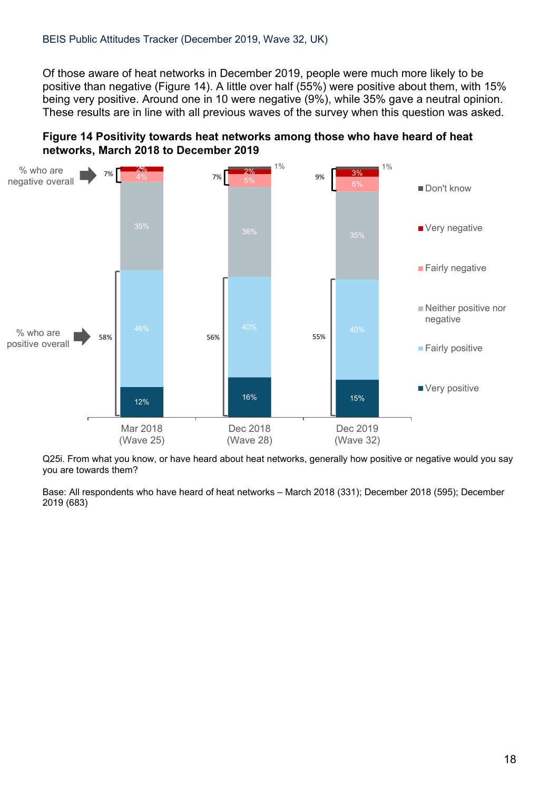Of those aware of heat networks in December 2019, people were much more likely to be positive than negative (Figure 14). A little over half (55%) were positive about them, with 15% being very positive. Around one in 10 were negative (9%), while 35% gave a neutral opinion. These results are in line with all previous waves of the survey when this question was asked.





Q25i. From what you know, or have heard about heat networks, generally how positive or negative would you say you are towards them?

Base: All respondents who have heard of heat networks – March 2018 (331); December 2018 (595); December 2019 (683)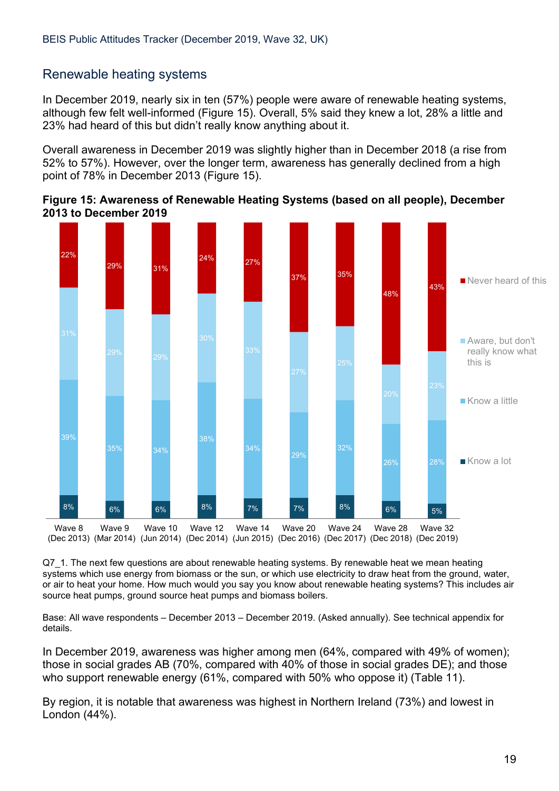## <span id="page-18-0"></span>Renewable heating systems

In December 2019, nearly six in ten (57%) people were aware of renewable heating systems, although few felt well-informed (Figure 15). Overall, 5% said they knew a lot, 28% a little and 23% had heard of this but didn't really know anything about it.

Overall awareness in December 2019 was slightly higher than in December 2018 (a rise from 52% to 57%). However, over the longer term, awareness has generally declined from a high point of 78% in December 2013 (Figure 15).





(Dec 2013) (Mar 2014) (Jun 2014) (Dec 2014) (Jun 2015) (Dec 2016) (Dec 2017) (Dec 2018) (Dec 2019)

Q7 1. The next few questions are about renewable heating systems. By renewable heat we mean heating systems which use energy from biomass or the sun, or which use electricity to draw heat from the ground, water, or air to heat your home. How much would you say you know about renewable heating systems? This includes air source heat pumps, ground source heat pumps and biomass boilers.

Base: All wave respondents – December 2013 – December 2019. (Asked annually). See technical appendix for details.

In December 2019, awareness was higher among men (64%, compared with 49% of women); those in social grades AB (70%, compared with 40% of those in social grades DE); and those who support renewable energy (61%, compared with 50% who oppose it) (Table 11).

By region, it is notable that awareness was highest in Northern Ireland (73%) and lowest in London (44%).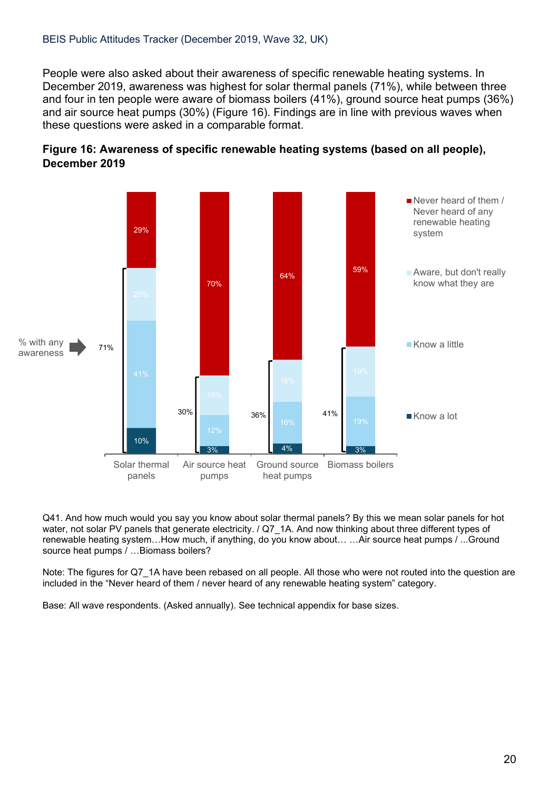People were also asked about their awareness of specific renewable heating systems. In December 2019, awareness was highest for solar thermal panels (71%), while between three and four in ten people were aware of biomass boilers (41%), ground source heat pumps (36%) and air source heat pumps (30%) (Figure 16). Findings are in line with previous waves when these questions were asked in a comparable format.





Q41. And how much would you say you know about solar thermal panels? By this we mean solar panels for hot water, not solar PV panels that generate electricity. / Q7\_1A. And now thinking about three different types of renewable heating system…How much, if anything, do you know about… …Air source heat pumps / ...Ground source heat pumps / …Biomass boilers?

Note: The figures for Q7, 1A have been rebased on all people. All those who were not routed into the question are included in the "Never heard of them / never heard of any renewable heating system" category.

Base: All wave respondents. (Asked annually). See technical appendix for base sizes.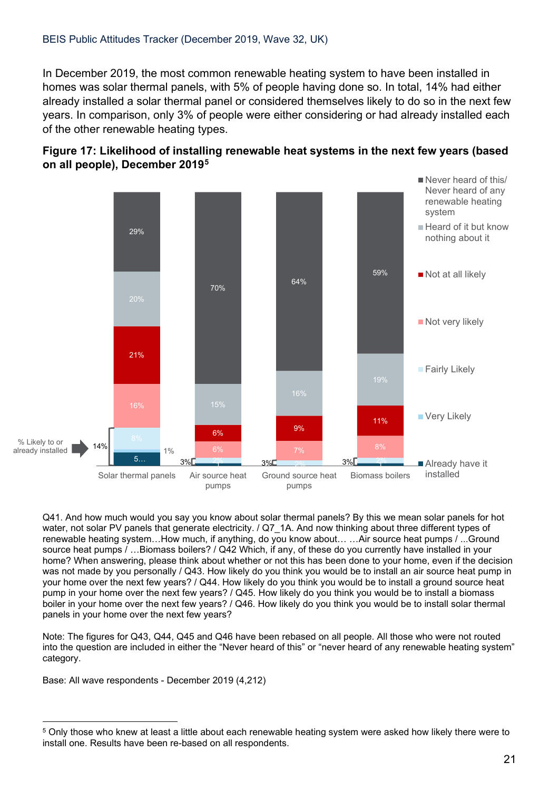In December 2019, the most common renewable heating system to have been installed in homes was solar thermal panels, with 5% of people having done so. In total, 14% had either already installed a solar thermal panel or considered themselves likely to do so in the next few years. In comparison, only 3% of people were either considering or had already installed each of the other renewable heating types.





Q41. And how much would you say you know about solar thermal panels? By this we mean solar panels for hot water, not solar PV panels that generate electricity. / Q7\_1A. And now thinking about three different types of renewable heating system…How much, if anything, do you know about… …Air source heat pumps / ...Ground source heat pumps / ...Biomass boilers? / Q42 Which, if any, of these do you currently have installed in your home? When answering, please think about whether or not this has been done to your home, even if the decision was not made by you personally / Q43. How likely do you think you would be to install an air source heat pump in your home over the next few years? / Q44. How likely do you think you would be to install a ground source heat pump in your home over the next few years? / Q45. How likely do you think you would be to install a biomass boiler in your home over the next few years? / Q46. How likely do you think you would be to install solar thermal panels in your home over the next few years?

Note: The figures for Q43, Q44, Q45 and Q46 have been rebased on all people. All those who were not routed into the question are included in either the "Never heard of this" or "never heard of any renewable heating system" category.

Base: All wave respondents - December 2019 (4,212)

<span id="page-20-0"></span><sup>5</sup> Only those who knew at least a little about each renewable heating system were asked how likely there were to install one. Results have been re-based on all respondents.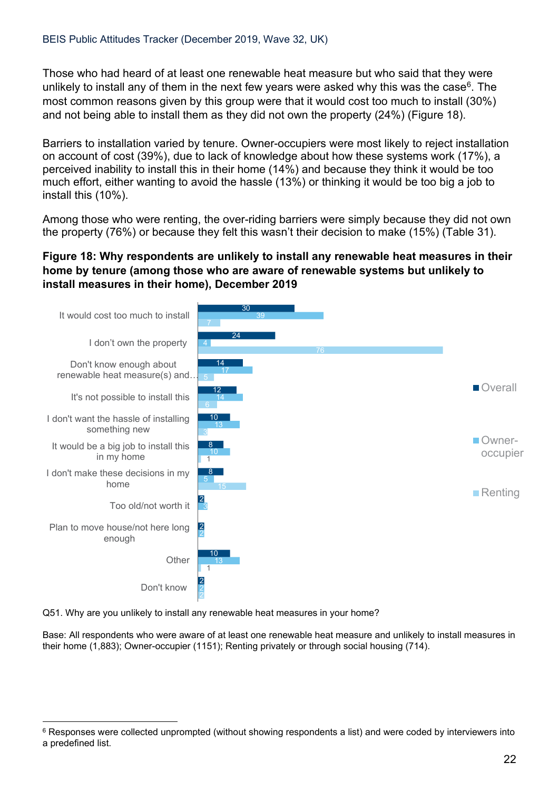Those who had heard of at least one renewable heat measure but who said that they were unlikely to install any of them in the next few years were asked why this was the case<sup>6</sup>. The most common reasons given by this group were that it would cost too much to install (30%) and not being able to install them as they did not own the property (24%) (Figure 18).

Barriers to installation varied by tenure. Owner-occupiers were most likely to reject installation on account of cost (39%), due to lack of knowledge about how these systems work (17%), a perceived inability to install this in their home (14%) and because they think it would be too much effort, either wanting to avoid the hassle (13%) or thinking it would be too big a job to install this (10%).

Among those who were renting, the over-riding barriers were simply because they did not own the property (76%) or because they felt this wasn't their decision to make (15%) (Table 31).

## **Figure 18: Why respondents are unlikely to install any renewable heat measures in their home by tenure (among those who are aware of renewable systems but unlikely to install measures in their home), December 2019**



Q51. Why are you unlikely to install any renewable heat measures in your home?

Base: All respondents who were aware of at least one renewable heat measure and unlikely to install measures in their home (1,883); Owner-occupier (1151); Renting privately or through social housing (714).

<span id="page-21-0"></span><sup>&</sup>lt;sup>6</sup> Responses were collected unprompted (without showing respondents a list) and were coded by interviewers into a predefined list.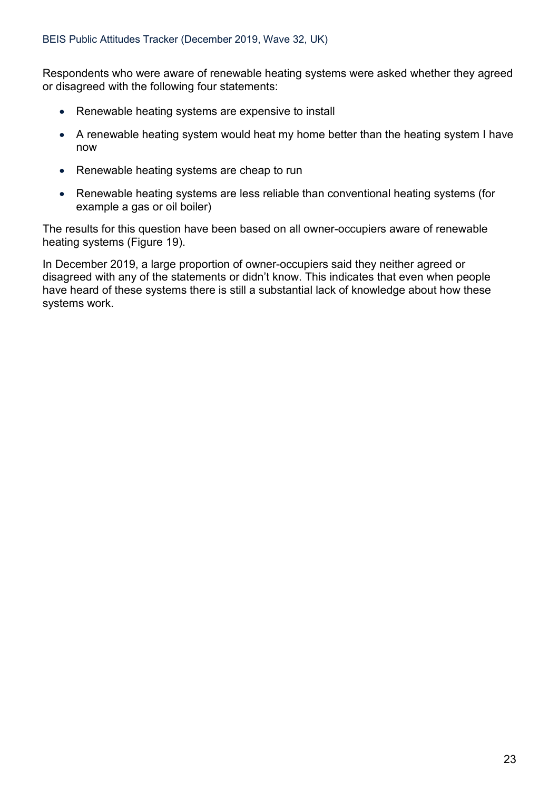Respondents who were aware of renewable heating systems were asked whether they agreed or disagreed with the following four statements:

- Renewable heating systems are expensive to install
- A renewable heating system would heat my home better than the heating system I have now
- Renewable heating systems are cheap to run
- Renewable heating systems are less reliable than conventional heating systems (for example a gas or oil boiler)

The results for this question have been based on all owner-occupiers aware of renewable heating systems (Figure 19).

In December 2019, a large proportion of owner-occupiers said they neither agreed or disagreed with any of the statements or didn't know. This indicates that even when people have heard of these systems there is still a substantial lack of knowledge about how these systems work.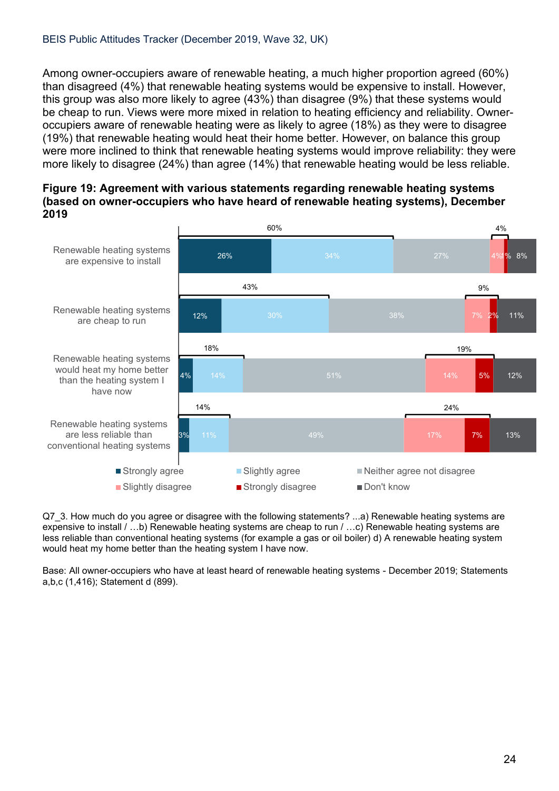Among owner-occupiers aware of renewable heating, a much higher proportion agreed (60%) than disagreed (4%) that renewable heating systems would be expensive to install. However, this group was also more likely to agree (43%) than disagree (9%) that these systems would be cheap to run. Views were more mixed in relation to heating efficiency and reliability. Owneroccupiers aware of renewable heating were as likely to agree (18%) as they were to disagree (19%) that renewable heating would heat their home better. However, on balance this group were more inclined to think that renewable heating systems would improve reliability: they were more likely to disagree (24%) than agree (14%) that renewable heating would be less reliable.





Q7 3. How much do you agree or disagree with the following statements? ...a) Renewable heating systems are expensive to install / …b) Renewable heating systems are cheap to run / …c) Renewable heating systems are less reliable than conventional heating systems (for example a gas or oil boiler) d) A renewable heating system would heat my home better than the heating system I have now.

Base: All owner-occupiers who have at least heard of renewable heating systems - December 2019; Statements a,b,c (1,416); Statement d (899).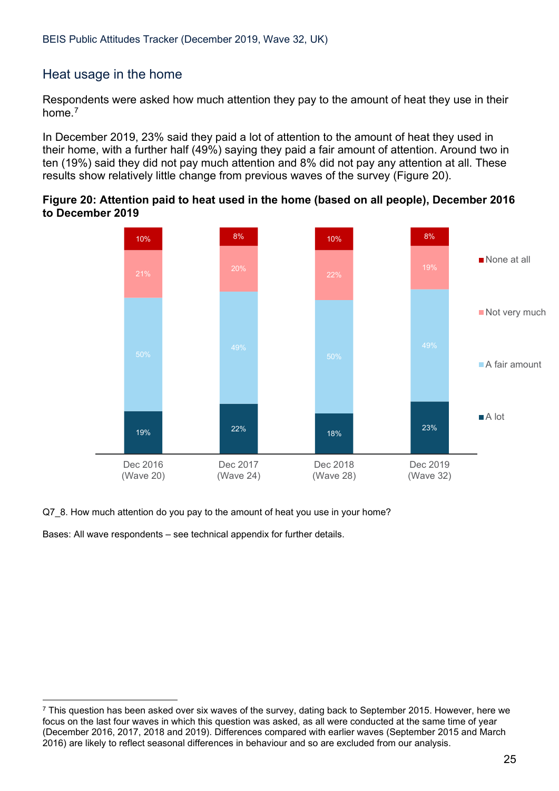## <span id="page-24-0"></span>Heat usage in the home

Respondents were asked how much attention they pay to the amount of heat they use in their home.<sup>[7](#page-24-1)</sup>

In December 2019, 23% said they paid a lot of attention to the amount of heat they used in their home, with a further half (49%) saying they paid a fair amount of attention. Around two in ten (19%) said they did not pay much attention and 8% did not pay any attention at all. These results show relatively little change from previous waves of the survey (Figure 20).

**Figure 20: Attention paid to heat used in the home (based on all people), December 2016 to December 2019**



Q7\_8. How much attention do you pay to the amount of heat you use in your home?

Bases: All wave respondents – see technical appendix for further details.

<span id="page-24-1"></span> $\frac{7}{1}$  This question has been asked over six waves of the survey, dating back to September 2015. However, here we focus on the last four waves in which this question was asked, as all were conducted at the same time of year (December 2016, 2017, 2018 and 2019). Differences compared with earlier waves (September 2015 and March 2016) are likely to reflect seasonal differences in behaviour and so are excluded from our analysis.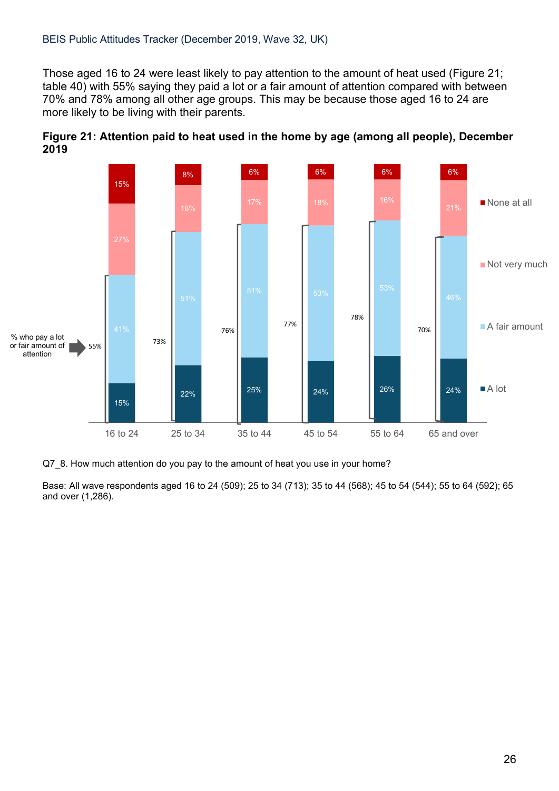Those aged 16 to 24 were least likely to pay attention to the amount of heat used (Figure 21; table 40) with 55% saying they paid a lot or a fair amount of attention compared with between 70% and 78% among all other age groups. This may be because those aged 16 to 24 are more likely to be living with their parents.





Q7\_8. How much attention do you pay to the amount of heat you use in your home?

Base: All wave respondents aged 16 to 24 (509); 25 to 34 (713); 35 to 44 (568); 45 to 54 (544); 55 to 64 (592); 65 and over (1,286).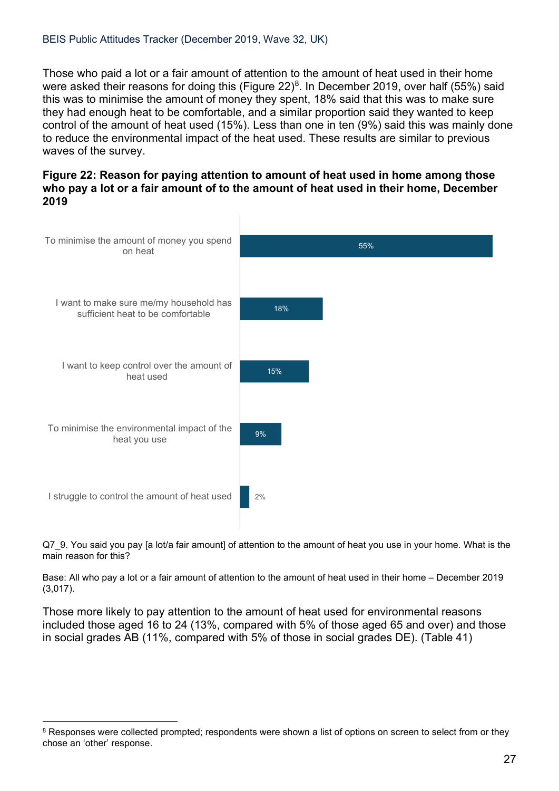### BEIS Public Attitudes Tracker (December 2019, Wave 32, UK)

Those who paid a lot or a fair amount of attention to the amount of heat used in their home were asked their reasons for doing this (Figure  $22)^8$ . In December 2019, over half (55%) said this was to minimise the amount of money they spent, 18% said that this was to make sure they had enough heat to be comfortable, and a similar proportion said they wanted to keep control of the amount of heat used (15%). Less than one in ten (9%) said this was mainly done to reduce the environmental impact of the heat used. These results are similar to previous waves of the survey.

#### **Figure 22: Reason for paying attention to amount of heat used in home among those who pay a lot or a fair amount of to the amount of heat used in their home, December 2019**



Q7\_9. You said you pay [a lot/a fair amount] of attention to the amount of heat you use in your home. What is the main reason for this?

Base: All who pay a lot or a fair amount of attention to the amount of heat used in their home – December 2019 (3,017).

Those more likely to pay attention to the amount of heat used for environmental reasons included those aged 16 to 24 (13%, compared with 5% of those aged 65 and over) and those in social grades AB (11%, compared with 5% of those in social grades DE). (Table 41)

<span id="page-26-0"></span><sup>&</sup>lt;sup>8</sup> Responses were collected prompted; respondents were shown a list of options on screen to select from or they chose an 'other' response.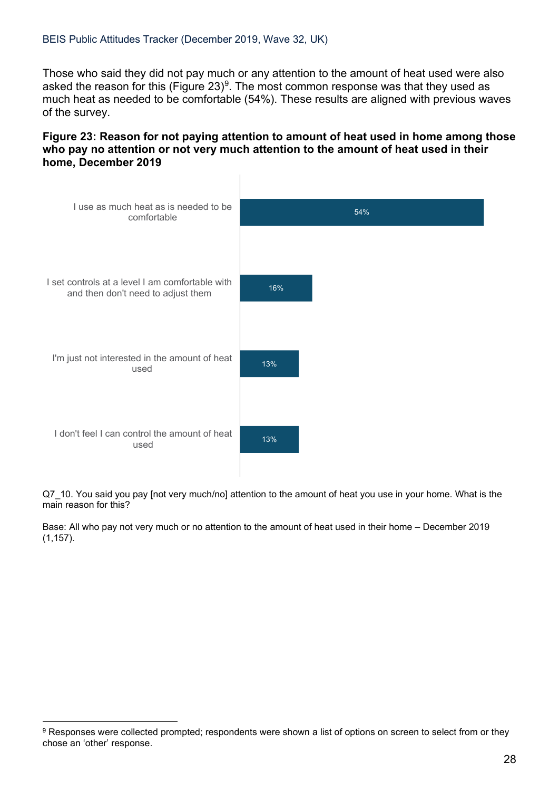Those who said they did not pay much or any attention to the amount of heat used were also asked the reason for this (Figure  $23$ )<sup>9</sup>. The most common response was that they used as much heat as needed to be comfortable (54%). These results are aligned with previous waves of the survey.

### **Figure 23: Reason for not paying attention to amount of heat used in home among those who pay no attention or not very much attention to the amount of heat used in their home, December 2019**



Q7 10. You said you pay [not very much/no] attention to the amount of heat you use in your home. What is the main reason for this?

Base: All who pay not very much or no attention to the amount of heat used in their home – December 2019 (1,157).

<span id="page-27-0"></span><sup>&</sup>lt;sup>9</sup> Responses were collected prompted; respondents were shown a list of options on screen to select from or they chose an 'other' response.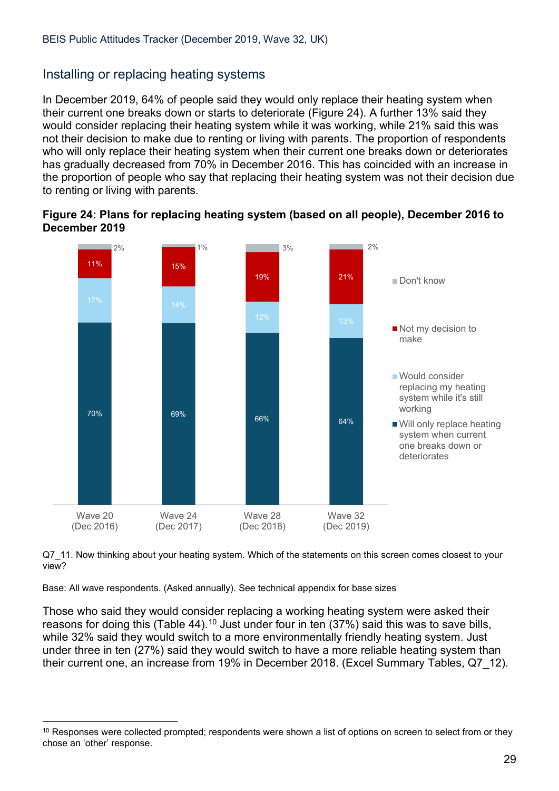## <span id="page-28-0"></span>Installing or replacing heating systems

In December 2019, 64% of people said they would only replace their heating system when their current one breaks down or starts to deteriorate (Figure 24). A further 13% said they would consider replacing their heating system while it was working, while 21% said this was not their decision to make due to renting or living with parents. The proportion of respondents who will only replace their heating system when their current one breaks down or deteriorates has gradually decreased from 70% in December 2016. This has coincided with an increase in the proportion of people who say that replacing their heating system was not their decision due to renting or living with parents.



**Figure 24: Plans for replacing heating system (based on all people), December 2016 to December 2019**

Q7\_11. Now thinking about your heating system. Which of the statements on this screen comes closest to your view?

Base: All wave respondents. (Asked annually). See technical appendix for base sizes

Those who said they would consider replacing a working heating system were asked their reasons for doing this (Table 44). $^{10}$  $^{10}$  $^{10}$  Just under four in ten (37%) said this was to save bills, while 32% said they would switch to a more environmentally friendly heating system. Just under three in ten (27%) said they would switch to have a more reliable heating system than their current one, an increase from 19% in December 2018. (Excel Summary Tables, Q7\_12).

<span id="page-28-1"></span><sup>&</sup>lt;sup>10</sup> Responses were collected prompted; respondents were shown a list of options on screen to select from or they chose an 'other' response.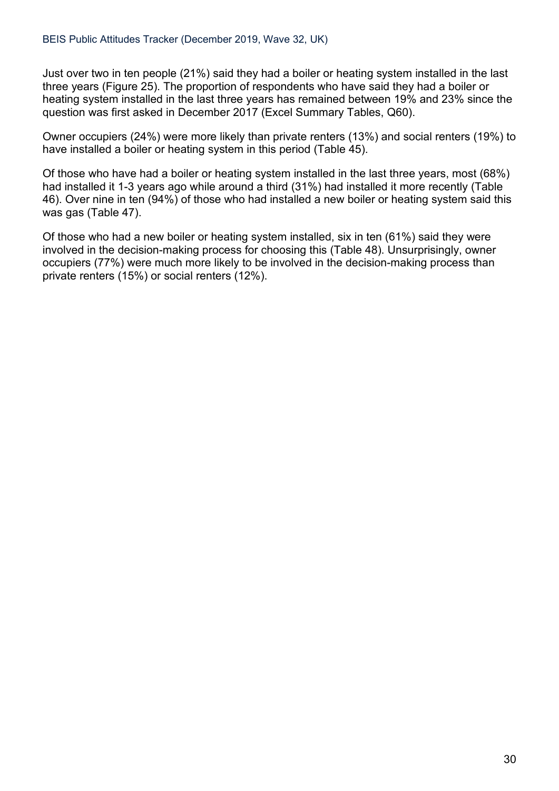Just over two in ten people (21%) said they had a boiler or heating system installed in the last three years (Figure 25). The proportion of respondents who have said they had a boiler or heating system installed in the last three years has remained between 19% and 23% since the question was first asked in December 2017 (Excel Summary Tables, Q60).

Owner occupiers (24%) were more likely than private renters (13%) and social renters (19%) to have installed a boiler or heating system in this period (Table 45).

Of those who have had a boiler or heating system installed in the last three years, most (68%) had installed it 1-3 years ago while around a third (31%) had installed it more recently (Table 46). Over nine in ten (94%) of those who had installed a new boiler or heating system said this was gas (Table 47).

Of those who had a new boiler or heating system installed, six in ten (61%) said they were involved in the decision-making process for choosing this (Table 48). Unsurprisingly, owner occupiers (77%) were much more likely to be involved in the decision-making process than private renters (15%) or social renters (12%).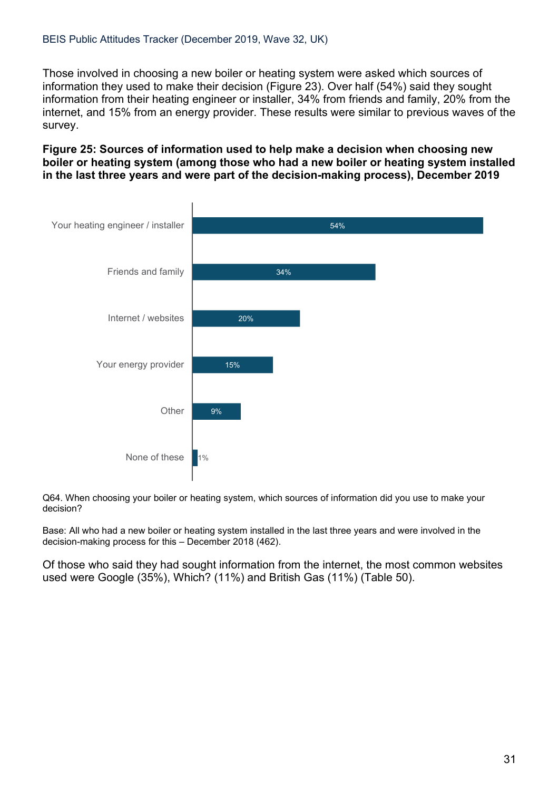Those involved in choosing a new boiler or heating system were asked which sources of information they used to make their decision (Figure 23). Over half (54%) said they sought information from their heating engineer or installer, 34% from friends and family, 20% from the internet, and 15% from an energy provider. These results were similar to previous waves of the survey.

**Figure 25: Sources of information used to help make a decision when choosing new boiler or heating system (among those who had a new boiler or heating system installed in the last three years and were part of the decision-making process), December 2019**



Q64. When choosing your boiler or heating system, which sources of information did you use to make your decision?

Base: All who had a new boiler or heating system installed in the last three years and were involved in the decision-making process for this – December 2018 (462).

Of those who said they had sought information from the internet, the most common websites used were Google (35%), Which? (11%) and British Gas (11%) (Table 50).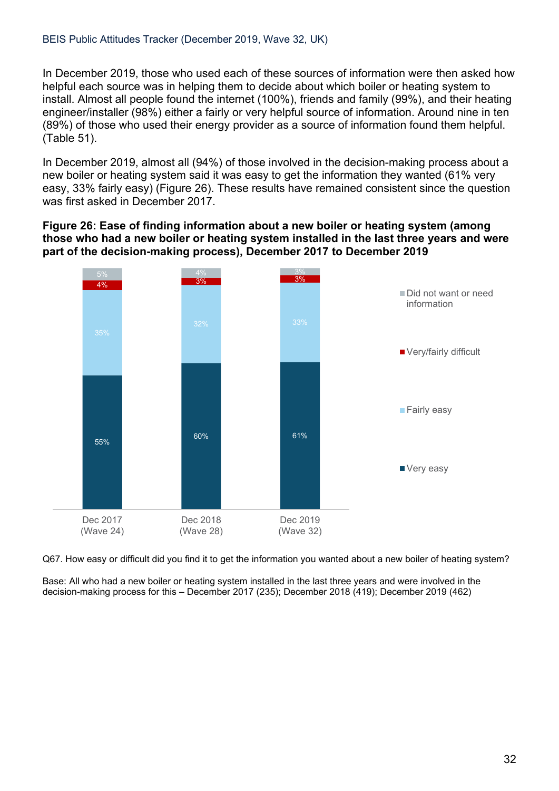In December 2019, those who used each of these sources of information were then asked how helpful each source was in helping them to decide about which boiler or heating system to install. Almost all people found the internet (100%), friends and family (99%), and their heating engineer/installer (98%) either a fairly or very helpful source of information. Around nine in ten (89%) of those who used their energy provider as a source of information found them helpful. (Table 51).

In December 2019, almost all (94%) of those involved in the decision-making process about a new boiler or heating system said it was easy to get the information they wanted (61% very easy, 33% fairly easy) (Figure 26). These results have remained consistent since the question was first asked in December 2017.

**Figure 26: Ease of finding information about a new boiler or heating system (among those who had a new boiler or heating system installed in the last three years and were part of the decision-making process), December 2017 to December 2019**



Q67. How easy or difficult did you find it to get the information you wanted about a new boiler of heating system?

Base: All who had a new boiler or heating system installed in the last three years and were involved in the decision-making process for this – December 2017 (235); December 2018 (419); December 2019 (462)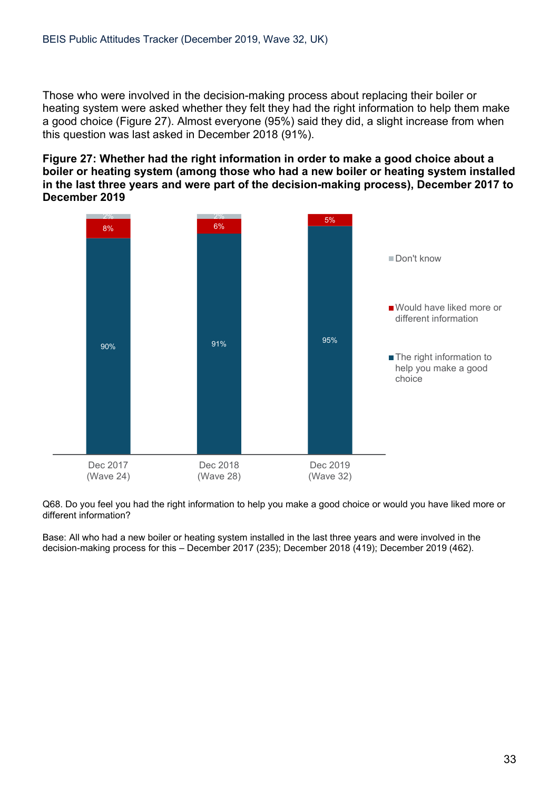Those who were involved in the decision-making process about replacing their boiler or heating system were asked whether they felt they had the right information to help them make a good choice (Figure 27). Almost everyone (95%) said they did, a slight increase from when this question was last asked in December 2018 (91%).

**Figure 27: Whether had the right information in order to make a good choice about a boiler or heating system (among those who had a new boiler or heating system installed in the last three years and were part of the decision-making process), December 2017 to December 2019**



Q68. Do you feel you had the right information to help you make a good choice or would you have liked more or different information?

Base: All who had a new boiler or heating system installed in the last three years and were involved in the decision-making process for this – December 2017 (235); December 2018 (419); December 2019 (462).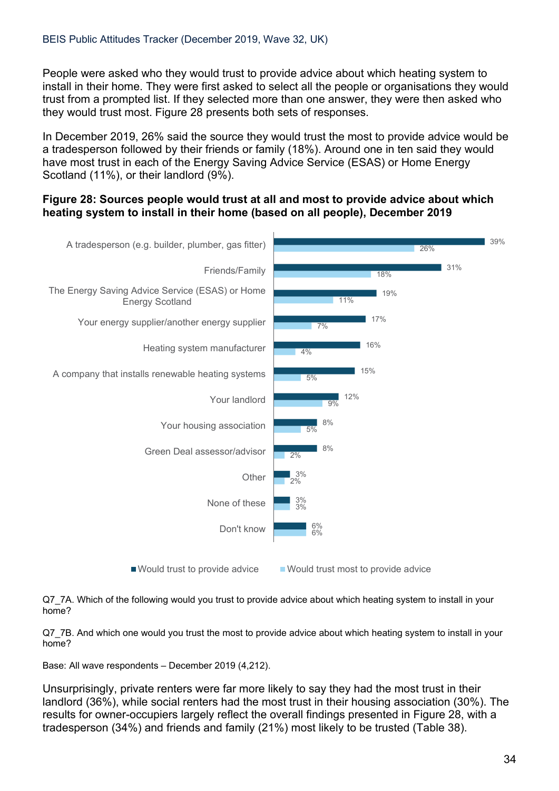People were asked who they would trust to provide advice about which heating system to install in their home. They were first asked to select all the people or organisations they would trust from a prompted list. If they selected more than one answer, they were then asked who they would trust most. Figure 28 presents both sets of responses.

In December 2019, 26% said the source they would trust the most to provide advice would be a tradesperson followed by their friends or family (18%). Around one in ten said they would have most trust in each of the Energy Saving Advice Service (ESAS) or Home Energy Scotland (11%), or their landlord (9%).

### **Figure 28: Sources people would trust at all and most to provide advice about which heating system to install in their home (based on all people), December 2019**



Q7\_7A. Which of the following would you trust to provide advice about which heating system to install in your home?

Q7\_7B. And which one would you trust the most to provide advice about which heating system to install in your home?

Base: All wave respondents – December 2019 (4,212).

Unsurprisingly, private renters were far more likely to say they had the most trust in their landlord (36%), while social renters had the most trust in their housing association (30%). The results for owner-occupiers largely reflect the overall findings presented in Figure 28, with a tradesperson (34%) and friends and family (21%) most likely to be trusted (Table 38).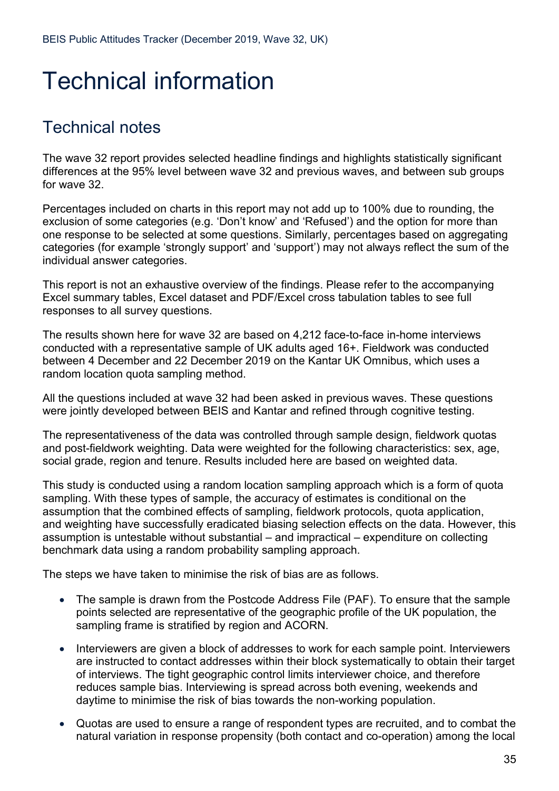# <span id="page-34-0"></span>Technical information

# <span id="page-34-1"></span>Technical notes

The wave 32 report provides selected headline findings and highlights statistically significant differences at the 95% level between wave 32 and previous waves, and between sub groups for wave 32.

Percentages included on charts in this report may not add up to 100% due to rounding, the exclusion of some categories (e.g. 'Don't know' and 'Refused') and the option for more than one response to be selected at some questions. Similarly, percentages based on aggregating categories (for example 'strongly support' and 'support') may not always reflect the sum of the individual answer categories.

This report is not an exhaustive overview of the findings. Please refer to the accompanying Excel summary tables, Excel dataset and PDF/Excel cross tabulation tables to see full responses to all survey questions.

The results shown here for wave 32 are based on 4,212 face-to-face in-home interviews conducted with a representative sample of UK adults aged 16+. Fieldwork was conducted between 4 December and 22 December 2019 on the Kantar UK Omnibus, which uses a random location quota sampling method.

All the questions included at wave 32 had been asked in previous waves. These questions were jointly developed between BEIS and Kantar and refined through cognitive testing.

The representativeness of the data was controlled through sample design, fieldwork quotas and post-fieldwork weighting. Data were weighted for the following characteristics: sex, age, social grade, region and tenure. Results included here are based on weighted data.

This study is conducted using a random location sampling approach which is a form of quota sampling. With these types of sample, the accuracy of estimates is conditional on the assumption that the combined effects of sampling, fieldwork protocols, quota application, and weighting have successfully eradicated biasing selection effects on the data. However, this assumption is untestable without substantial – and impractical – expenditure on collecting benchmark data using a random probability sampling approach.

The steps we have taken to minimise the risk of bias are as follows.

- The sample is drawn from the Postcode Address File (PAF). To ensure that the sample points selected are representative of the geographic profile of the UK population, the sampling frame is stratified by region and ACORN.
- Interviewers are given a block of addresses to work for each sample point. Interviewers are instructed to contact addresses within their block systematically to obtain their target of interviews. The tight geographic control limits interviewer choice, and therefore reduces sample bias. Interviewing is spread across both evening, weekends and daytime to minimise the risk of bias towards the non-working population.
- Quotas are used to ensure a range of respondent types are recruited, and to combat the natural variation in response propensity (both contact and co-operation) among the local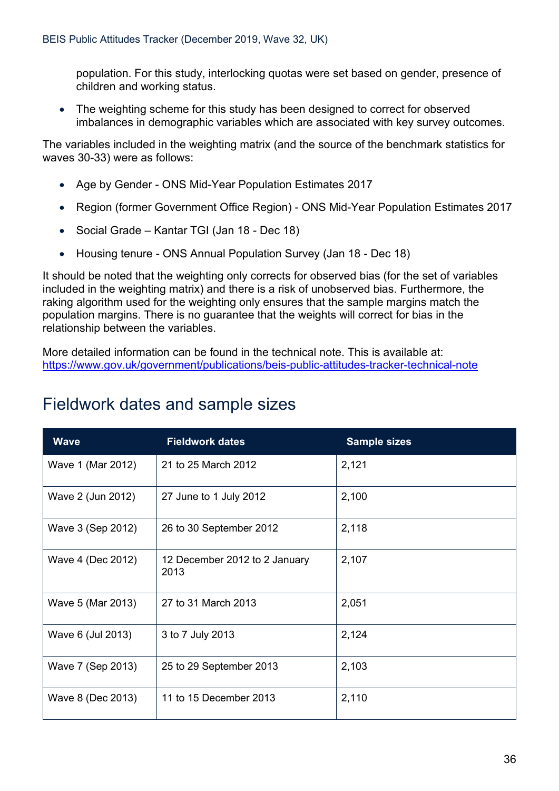population. For this study, interlocking quotas were set based on gender, presence of children and working status.

• The weighting scheme for this study has been designed to correct for observed imbalances in demographic variables which are associated with key survey outcomes.

The variables included in the weighting matrix (and the source of the benchmark statistics for waves 30-33) were as follows:

- Age by Gender ONS Mid-Year Population Estimates 2017
- Region (former Government Office Region) ONS Mid-Year Population Estimates 2017
- Social Grade Kantar TGI (Jan 18 Dec 18)
- Housing tenure ONS Annual Population Survey (Jan 18 Dec 18)

It should be noted that the weighting only corrects for observed bias (for the set of variables included in the weighting matrix) and there is a risk of unobserved bias. Furthermore, the raking algorithm used for the weighting only ensures that the sample margins match the population margins. There is no guarantee that the weights will correct for bias in the relationship between the variables.

More detailed information can be found in the technical note. This is available at: <https://www.gov.uk/government/publications/beis-public-attitudes-tracker-technical-note>

<span id="page-35-0"></span>

| <b>Wave</b>       | <b>Fieldwork dates</b>                | <b>Sample sizes</b> |
|-------------------|---------------------------------------|---------------------|
| Wave 1 (Mar 2012) | 21 to 25 March 2012                   | 2,121               |
| Wave 2 (Jun 2012) | 27 June to 1 July 2012                | 2,100               |
| Wave 3 (Sep 2012) | 26 to 30 September 2012               | 2,118               |
| Wave 4 (Dec 2012) | 12 December 2012 to 2 January<br>2013 | 2,107               |
| Wave 5 (Mar 2013) | 27 to 31 March 2013                   | 2,051               |
| Wave 6 (Jul 2013) | 3 to 7 July 2013                      | 2,124               |
| Wave 7 (Sep 2013) | 25 to 29 September 2013               | 2,103               |
| Wave 8 (Dec 2013) | 11 to 15 December 2013                | 2,110               |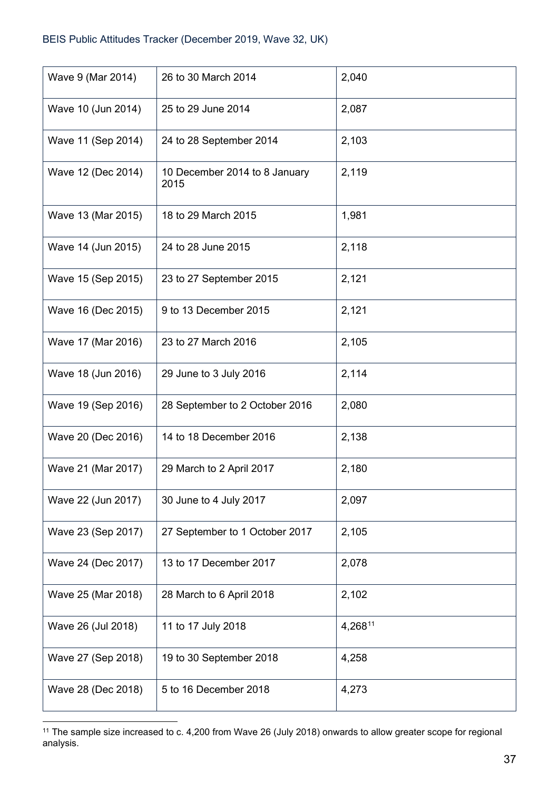| Wave 9 (Mar 2014)  | 26 to 30 March 2014                   | 2,040   |
|--------------------|---------------------------------------|---------|
| Wave 10 (Jun 2014) | 25 to 29 June 2014                    | 2,087   |
| Wave 11 (Sep 2014) | 24 to 28 September 2014               | 2,103   |
| Wave 12 (Dec 2014) | 10 December 2014 to 8 January<br>2015 | 2,119   |
| Wave 13 (Mar 2015) | 18 to 29 March 2015                   | 1,981   |
| Wave 14 (Jun 2015) | 24 to 28 June 2015                    | 2,118   |
| Wave 15 (Sep 2015) | 23 to 27 September 2015               | 2,121   |
| Wave 16 (Dec 2015) | 9 to 13 December 2015                 | 2,121   |
| Wave 17 (Mar 2016) | 23 to 27 March 2016                   | 2,105   |
| Wave 18 (Jun 2016) | 29 June to 3 July 2016                | 2,114   |
| Wave 19 (Sep 2016) | 28 September to 2 October 2016        | 2,080   |
| Wave 20 (Dec 2016) | 14 to 18 December 2016                | 2,138   |
| Wave 21 (Mar 2017) | 29 March to 2 April 2017              | 2,180   |
| Wave 22 (Jun 2017) | 30 June to 4 July 2017                | 2,097   |
| Wave 23 (Sep 2017) | 27 September to 1 October 2017        | 2,105   |
| Wave 24 (Dec 2017) | 13 to 17 December 2017                | 2,078   |
| Wave 25 (Mar 2018) | 28 March to 6 April 2018              | 2,102   |
| Wave 26 (Jul 2018) | 11 to 17 July 2018                    | 4,26811 |
| Wave 27 (Sep 2018) | 19 to 30 September 2018               | 4,258   |
| Wave 28 (Dec 2018) | 5 to 16 December 2018                 | 4,273   |

<span id="page-36-0"></span><sup>11</sup> The sample size increased to c. 4,200 from Wave 26 (July 2018) onwards to allow greater scope for regional analysis.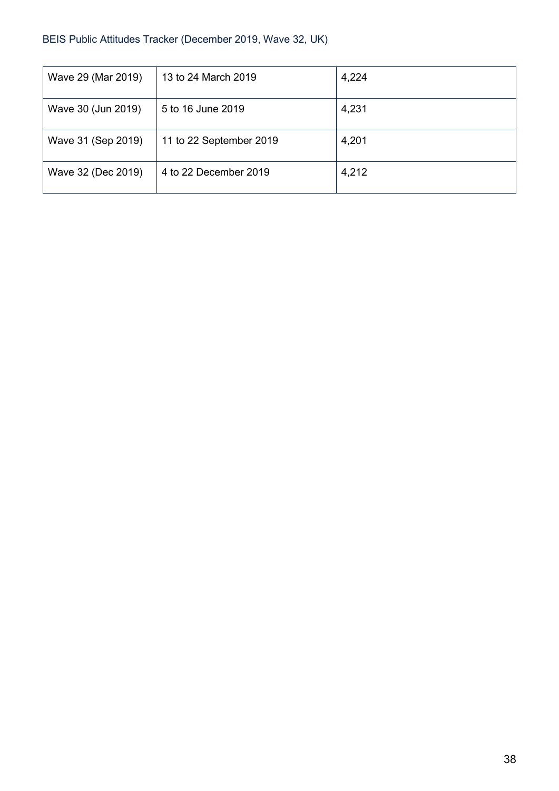| Wave 29 (Mar 2019) | 13 to 24 March 2019     | 4,224 |
|--------------------|-------------------------|-------|
| Wave 30 (Jun 2019) | 5 to 16 June 2019       | 4,231 |
| Wave 31 (Sep 2019) | 11 to 22 September 2019 | 4,201 |
| Wave 32 (Dec 2019) | 4 to 22 December 2019   | 4,212 |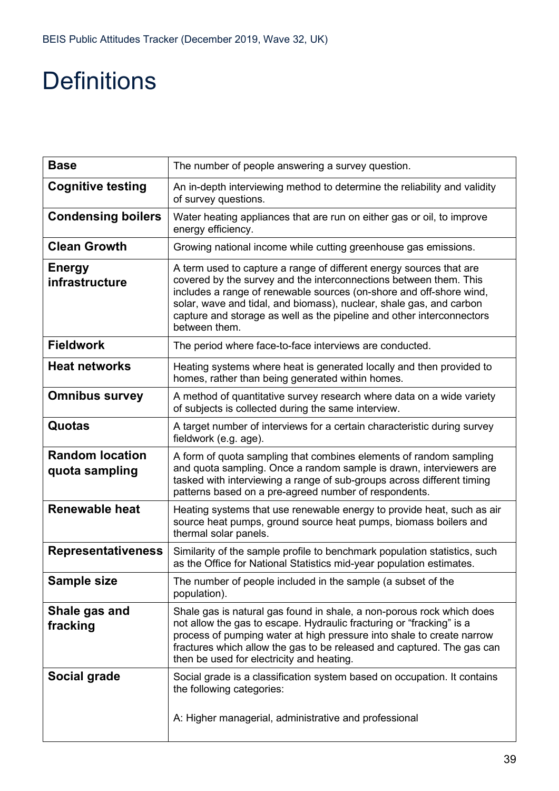# <span id="page-38-0"></span>**Definitions**

| <b>Base</b>                              | The number of people answering a survey question.                                                                                                                                                                                                                                                                                                                                |
|------------------------------------------|----------------------------------------------------------------------------------------------------------------------------------------------------------------------------------------------------------------------------------------------------------------------------------------------------------------------------------------------------------------------------------|
| <b>Cognitive testing</b>                 | An in-depth interviewing method to determine the reliability and validity<br>of survey questions.                                                                                                                                                                                                                                                                                |
| <b>Condensing boilers</b>                | Water heating appliances that are run on either gas or oil, to improve<br>energy efficiency.                                                                                                                                                                                                                                                                                     |
| <b>Clean Growth</b>                      | Growing national income while cutting greenhouse gas emissions.                                                                                                                                                                                                                                                                                                                  |
| <b>Energy</b><br>infrastructure          | A term used to capture a range of different energy sources that are<br>covered by the survey and the interconnections between them. This<br>includes a range of renewable sources (on-shore and off-shore wind,<br>solar, wave and tidal, and biomass), nuclear, shale gas, and carbon<br>capture and storage as well as the pipeline and other interconnectors<br>between them. |
| <b>Fieldwork</b>                         | The period where face-to-face interviews are conducted.                                                                                                                                                                                                                                                                                                                          |
| <b>Heat networks</b>                     | Heating systems where heat is generated locally and then provided to<br>homes, rather than being generated within homes.                                                                                                                                                                                                                                                         |
| <b>Omnibus survey</b>                    | A method of quantitative survey research where data on a wide variety<br>of subjects is collected during the same interview.                                                                                                                                                                                                                                                     |
| Quotas                                   | A target number of interviews for a certain characteristic during survey<br>fieldwork (e.g. age).                                                                                                                                                                                                                                                                                |
| <b>Random location</b><br>quota sampling | A form of quota sampling that combines elements of random sampling<br>and quota sampling. Once a random sample is drawn, interviewers are<br>tasked with interviewing a range of sub-groups across different timing<br>patterns based on a pre-agreed number of respondents.                                                                                                     |
| <b>Renewable heat</b>                    | Heating systems that use renewable energy to provide heat, such as air<br>source heat pumps, ground source heat pumps, biomass boilers and<br>thermal solar panels.                                                                                                                                                                                                              |
| <b>Representativeness</b>                | Similarity of the sample profile to benchmark population statistics, such<br>as the Office for National Statistics mid-year population estimates.                                                                                                                                                                                                                                |
| <b>Sample size</b>                       | The number of people included in the sample (a subset of the<br>population).                                                                                                                                                                                                                                                                                                     |
| Shale gas and<br>fracking                | Shale gas is natural gas found in shale, a non-porous rock which does<br>not allow the gas to escape. Hydraulic fracturing or "fracking" is a<br>process of pumping water at high pressure into shale to create narrow<br>fractures which allow the gas to be released and captured. The gas can<br>then be used for electricity and heating.                                    |
| Social grade                             | Social grade is a classification system based on occupation. It contains<br>the following categories:<br>A: Higher managerial, administrative and professional                                                                                                                                                                                                                   |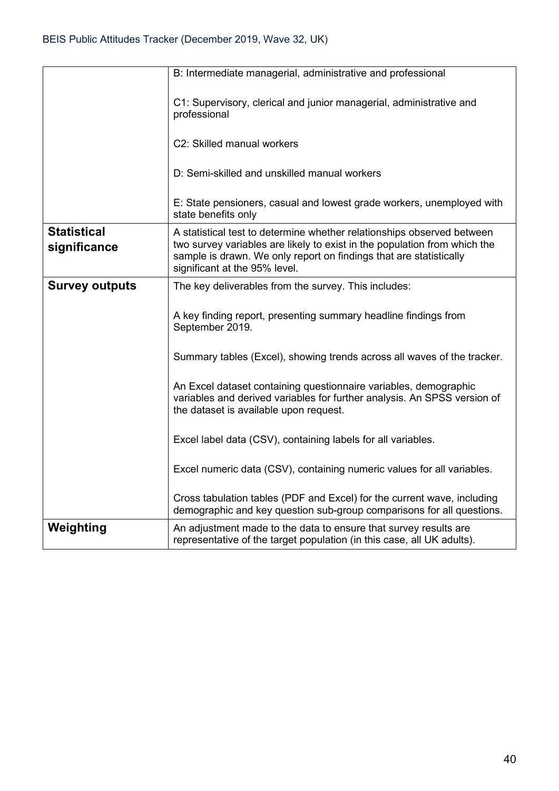|                                    | B: Intermediate managerial, administrative and professional                                                                                                                                                                                                |
|------------------------------------|------------------------------------------------------------------------------------------------------------------------------------------------------------------------------------------------------------------------------------------------------------|
|                                    | C1: Supervisory, clerical and junior managerial, administrative and<br>professional                                                                                                                                                                        |
|                                    | C2: Skilled manual workers                                                                                                                                                                                                                                 |
|                                    | D: Semi-skilled and unskilled manual workers                                                                                                                                                                                                               |
|                                    | E: State pensioners, casual and lowest grade workers, unemployed with<br>state benefits only                                                                                                                                                               |
| <b>Statistical</b><br>significance | A statistical test to determine whether relationships observed between<br>two survey variables are likely to exist in the population from which the<br>sample is drawn. We only report on findings that are statistically<br>significant at the 95% level. |
| <b>Survey outputs</b>              | The key deliverables from the survey. This includes:                                                                                                                                                                                                       |
|                                    | A key finding report, presenting summary headline findings from<br>September 2019.                                                                                                                                                                         |
|                                    | Summary tables (Excel), showing trends across all waves of the tracker.                                                                                                                                                                                    |
|                                    | An Excel dataset containing questionnaire variables, demographic<br>variables and derived variables for further analysis. An SPSS version of<br>the dataset is available upon request.                                                                     |
|                                    | Excel label data (CSV), containing labels for all variables.                                                                                                                                                                                               |
|                                    | Excel numeric data (CSV), containing numeric values for all variables.                                                                                                                                                                                     |
|                                    | Cross tabulation tables (PDF and Excel) for the current wave, including<br>demographic and key question sub-group comparisons for all questions.                                                                                                           |
| Weighting                          | An adjustment made to the data to ensure that survey results are<br>representative of the target population (in this case, all UK adults).                                                                                                                 |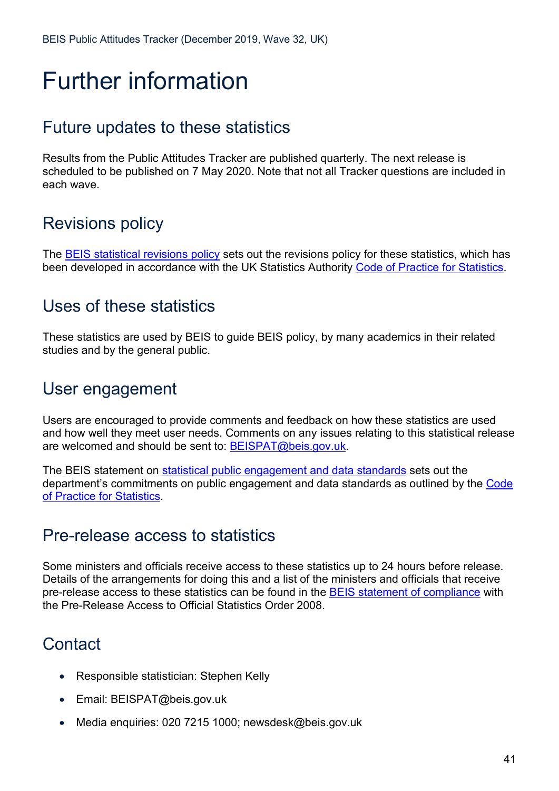# <span id="page-40-0"></span>Further information

## <span id="page-40-1"></span>Future updates to these statistics

Results from the Public Attitudes Tracker are published quarterly. The next release is scheduled to be published on 7 May 2020. Note that not all Tracker questions are included in each wave.

# <span id="page-40-2"></span>Revisions policy

[The BEIS statistical](https://www.gov.uk/government/publications/beis-standards-for-official-statistics/statistical-revisions-policy) revisions policy sets out the revisions policy for these statistics, which has been developed in accordance with the UK Statistics Authority [Code of Practice for Statistics.](https://www.statisticsauthority.gov.uk/code-of-practice/)

## <span id="page-40-3"></span>Uses of these statistics

These statistics are used by BEIS to guide BEIS policy, by many academics in their related studies and by the general public.

## <span id="page-40-4"></span>User engagement

Users are encouraged to provide comments and feedback on how these statistics are used and how well they meet user needs. Comments on any issues relating to this statistical release are welcomed and should be sent to: [BEISPAT@beis.gov.uk.](mailto:BEISPAT@beis.gov.uk)

The BEIS statement on [statistical public engagement and data standards](https://www.gov.uk/government/publications/beis-standards-for-official-statistics/statistical-public-engagement-and-data-standards) sets out the department's commitments on public engagement and data standards as outlined by the Code [of Practice for Statistics.](https://www.statisticsauthority.gov.uk/code-of-practice/)

## <span id="page-40-5"></span>Pre-release access to statistics

Some ministers and officials receive access to these statistics up to 24 hours before release. Details of the arrangements for doing this and a list of the ministers and officials that receive pre-release access to these statistics can be found in the [BEIS statement of compliance](https://www.gov.uk/government/publications/beis-standards-for-official-statistics/pre-release-access-to-official-statistics-order-2008-statement-of-compliance) with the Pre-Release Access to Official Statistics Order 2008.

# <span id="page-40-6"></span>**Contact**

- Responsible statistician: Stephen Kelly
- Email: BEISPAT@beis.gov.uk
- Media enquiries: 020 7215 1000; newsdesk@beis.gov.uk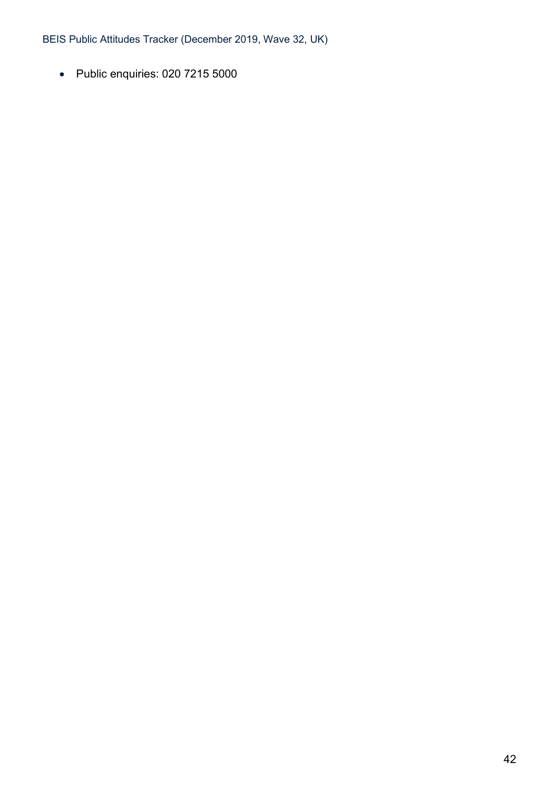BEIS Public Attitudes Tracker (December 2019, Wave 32, UK)

• Public enquiries: 020 7215 5000